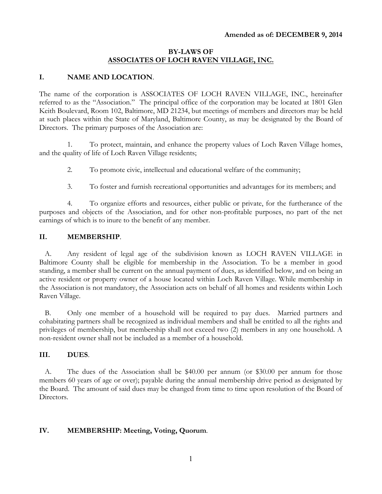### **BY-LAWS OF ASSOCIATES OF LOCH RAVEN VILLAGE, INC.**

#### **I. NAME AND LOCATION**.

The name of the corporation is ASSOCIATES OF LOCH RAVEN VILLAGE, INC., hereinafter referred to as the "Association." The principal office of the corporation may be located at 1801 Glen Keith Boulevard, Room 102, Baltimore, MD 21234, but meetings of members and directors may be held at such places within the State of Maryland, Baltimore County, as may be designated by the Board of Directors. The primary purposes of the Association are:

1. To protect, maintain, and enhance the property values of Loch Raven Village homes, and the quality of life of Loch Raven Village residents;

2. To promote civic, intellectual and educational welfare of the community;

3. To foster and furnish recreational opportunities and advantages for its members; and

4. To organize efforts and resources, either public or private, for the furtherance of the purposes and objects of the Association, and for other non-profitable purposes, no part of the net earnings of which is to inure to the benefit of any member.

### **II. MEMBERSHIP**.

A. Any resident of legal age of the subdivision known as LOCH RAVEN VILLAGE in Baltimore County shall be eligible for membership in the Association. To be a member in good standing, a member shall be current on the annual payment of dues, as identified below, and on being an active resident or property owner of a house located within Loch Raven Village. While membership in the Association is not mandatory, the Association acts on behalf of all homes and residents within Loch Raven Village.

B. Only one member of a household will be required to pay dues. Married partners and cohabitating partners shall be recognized as individual members and shall be entitled to all the rights and privileges of membership, but membership shall not exceed two (2) members in any one household. A non-resident owner shall not be included as a member of a household.

### **III. DUES**.

A. The dues of the Association shall be \$40.00 per annum (or \$30.00 per annum for those members 60 years of age or over); payable during the annual membership drive period as designated by the Board. The amount of said dues may be changed from time to time upon resolution of the Board of Directors.

### **IV. MEMBERSHIP: Meeting, Voting, Quorum**.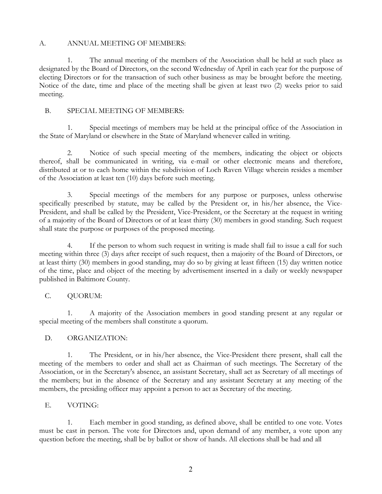#### A. ANNUAL MEETING OF MEMBERS:

1. The annual meeting of the members of the Association shall be held at such place as designated by the Board of Directors, on the second Wednesday of April in each year for the purpose of electing Directors or for the transaction of such other business as may be brought before the meeting. Notice of the date, time and place of the meeting shall be given at least two (2) weeks prior to said meeting.

### B. SPECIAL MEETING OF MEMBERS:

1. Special meetings of members may be held at the principal office of the Association in the State of Maryland or elsewhere in the State of Maryland whenever called in writing.

2. Notice of such special meeting of the members, indicating the object or objects thereof, shall be communicated in writing, via e-mail or other electronic means and therefore, distributed at or to each home within the subdivision of Loch Raven Village wherein resides a member of the Association at least ten (10) days before such meeting.

3. Special meetings of the members for any purpose or purposes, unless otherwise specifically prescribed by statute, may be called by the President or, in his/her absence, the Vice-President, and shall be called by the President, Vice-President, or the Secretary at the request in writing of a majority of the Board of Directors or of at least thirty (30) members in good standing. Such request shall state the purpose or purposes of the proposed meeting.

4. If the person to whom such request in writing is made shall fail to issue a call for such meeting within three (3) days after receipt of such request, then a majority of the Board of Directors, or at least thirty (30) members in good standing, may do so by giving at least fifteen (15) day written notice of the time, place and object of the meeting by advertisement inserted in a daily or weekly newspaper published in Baltimore County.

### C. QUORUM:

1. A majority of the Association members in good standing present at any regular or special meeting of the members shall constitute a quorum.

### D. ORGANIZATION:

1. The President, or in his/her absence, the Vice-President there present, shall call the meeting of the members to order and shall act as Chairman of such meetings. The Secretary of the Association, or in the Secretary's absence, an assistant Secretary, shall act as Secretary of all meetings of the members; but in the absence of the Secretary and any assistant Secretary at any meeting of the members, the presiding officer may appoint a person to act as Secretary of the meeting.

### E. VOTING:

1. Each member in good standing, as defined above, shall be entitled to one vote. Votes must be cast in person. The vote for Directors and, upon demand of any member, a vote upon any question before the meeting, shall be by ballot or show of hands. All elections shall be had and all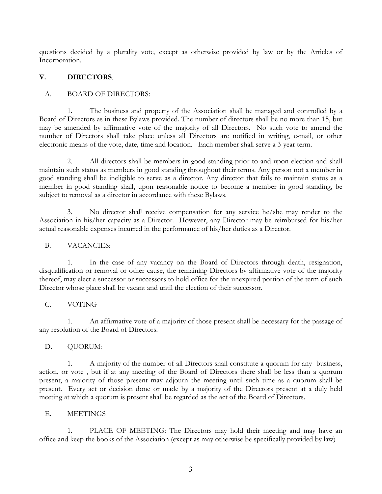questions decided by a plurality vote, except as otherwise provided by law or by the Articles of Incorporation.

# **V. DIRECTORS**.

# A. BOARD OF DIRECTORS:

1. The business and property of the Association shall be managed and controlled by a Board of Directors as in these Bylaws provided. The number of directors shall be no more than 15, but may be amended by affirmative vote of the majority of all Directors. No such vote to amend the number of Directors shall take place unless all Directors are notified in writing, e-mail, or other electronic means of the vote, date, time and location. Each member shall serve a 3-year term.

2. All directors shall be members in good standing prior to and upon election and shall maintain such status as members in good standing throughout their terms. Any person not a member in good standing shall be ineligible to serve as a director. Any director that fails to maintain status as a member in good standing shall, upon reasonable notice to become a member in good standing, be subject to removal as a director in accordance with these Bylaws.

3. No director shall receive compensation for any service he/she may render to the Association in his/her capacity as a Director. However, any Director may be reimbursed for his/her actual reasonable expenses incurred in the performance of his/her duties as a Director.

### B. VACANCIES:

1. In the case of any vacancy on the Board of Directors through death, resignation, disqualification or removal or other cause, the remaining Directors by affirmative vote of the majority thereof, may elect a successor or successors to hold office for the unexpired portion of the term of such Director whose place shall be vacant and until the election of their successor.

### C. VOTING

1. An affirmative vote of a majority of those present shall be necessary for the passage of any resolution of the Board of Directors.

### D. QUORUM:

1. A majority of the number of all Directors shall constitute a quorum for any business, action, or vote , but if at any meeting of the Board of Directors there shall be less than a quorum present, a majority of those present may adjourn the meeting until such time as a quorum shall be present. Every act or decision done or made by a majority of the Directors present at a duly held meeting at which a quorum is present shall be regarded as the act of the Board of Directors.

### E. MEETINGS

1. PLACE OF MEETING: The Directors may hold their meeting and may have an office and keep the books of the Association (except as may otherwise be specifically provided by law)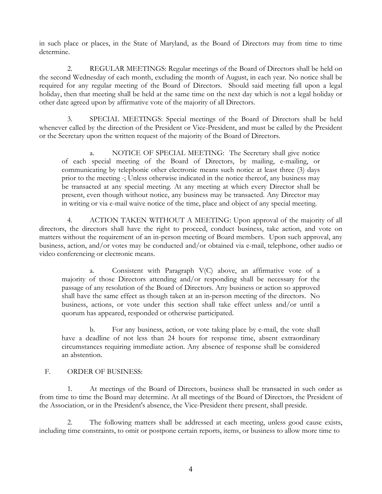in such place or places, in the State of Maryland, as the Board of Directors may from time to time determine.

2. REGULAR MEETINGS: Regular meetings of the Board of Directors shall be held on the second Wednesday of each month, excluding the month of August, in each year. No notice shall be required for any regular meeting of the Board of Directors. Should said meeting fall upon a legal holiday, then that meeting shall be held at the same time on the next day which is not a legal holiday or other date agreed upon by affirmative vote of the majority of all Directors.

3. SPECIAL MEETINGS: Special meetings of the Board of Directors shall be held whenever called by the direction of the President or Vice-President, and must be called by the President or the Secretary upon the written request of the majority of the Board of Directors.

a. NOTICE OF SPECIAL MEETING: The Secretary shall give notice of each special meeting of the Board of Directors, by mailing, e-mailing, or communicating by telephonic other electronic means such notice at least three (3) days prior to the meeting -; Unless otherwise indicated in the notice thereof, any business may be transacted at any special meeting. At any meeting at which every Director shall be present, even though without notice, any business may be transacted. Any Director may in writing or via e-mail waive notice of the time, place and object of any special meeting.

4. ACTION TAKEN WITHOUT A MEETING: Upon approval of the majority of all directors, the directors shall have the right to proceed, conduct business, take action, and vote on matters without the requirement of an in-person meeting of Board members. Upon such approval, any business, action, and/or votes may be conducted and/or obtained via e-mail, telephone, other audio or video conferencing or electronic means.

a. Consistent with Paragraph V(C) above, an affirmative vote of a majority of those Directors attending and/or responding shall be necessary for the passage of any resolution of the Board of Directors. Any business or action so approved shall have the same effect as though taken at an in-person meeting of the directors. No business, actions, or vote under this section shall take effect unless and/or until a quorum has appeared, responded or otherwise participated.

b. For any business, action, or vote taking place by e-mail, the vote shall have a deadline of not less than 24 hours for response time, absent extraordinary circumstances requiring immediate action. Any absence of response shall be considered an abstention.

### F. ORDER OF BUSINESS:

1. At meetings of the Board of Directors, business shall be transacted in such order as from time to time the Board may determine. At all meetings of the Board of Directors, the President of the Association, or in the President's absence, the Vice-President there present, shall preside.

2. The following matters shall be addressed at each meeting, unless good cause exists, including time constraints, to omit or postpone certain reports, items, or business to allow more time to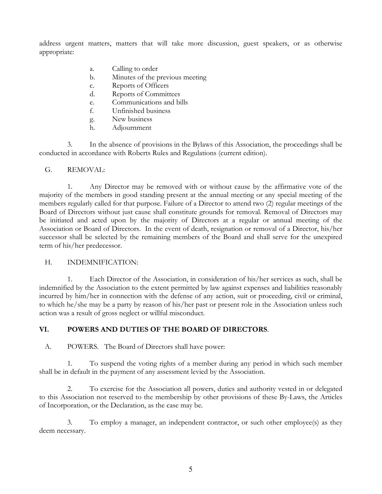address urgent matters, matters that will take more discussion, guest speakers, or as otherwise appropriate:

- a. Calling to order
- b. Minutes of the previous meeting
- c. Reports of Officers
- d. Reports of Committees
- e. Communications and bills
- f. Unfinished business
- g. New business
- h. Adjournment

3. In the absence of provisions in the Bylaws of this Association, the proceedings shall be conducted in accordance with Roberts Rules and Regulations (current edition).

# G. REMOVAL:

1. Any Director may be removed with or without cause by the affirmative vote of the majority of the members in good standing present at the annual meeting or any special meeting of the members regularly called for that purpose. Failure of a Director to attend two (2) regular meetings of the Board of Directors without just cause shall constitute grounds for removal. Removal of Directors may be initiated and acted upon by the majority of Directors at a regular or annual meeting of the Association or Board of Directors. In the event of death, resignation or removal of a Director, his/her successor shall be selected by the remaining members of the Board and shall serve for the unexpired term of his/her predecessor.

### H. INDEMNIFICATION:

1. Each Director of the Association, in consideration of his/her services as such, shall be indemnified by the Association to the extent permitted by law against expenses and liabilities reasonably incurred by him/her in connection with the defense of any action, suit or proceeding, civil or criminal, to which he/she may be a party by reason of his/her past or present role in the Association unless such action was a result of gross neglect or willful misconduct.

# **VI. POWERS AND DUTIES OF THE BOARD OF DIRECTORS**.

A. POWERS. The Board of Directors shall have power:

1. To suspend the voting rights of a member during any period in which such member shall be in default in the payment of any assessment levied by the Association.

2. To exercise for the Association all powers, duties and authority vested in or delegated to this Association not reserved to the membership by other provisions of these By-Laws, the Articles of Incorporation, or the Declaration, as the case may be.

3. To employ a manager, an independent contractor, or such other employee(s) as they deem necessary.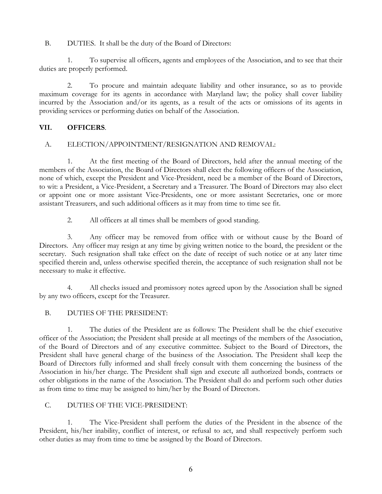B. DUTIES. It shall be the duty of the Board of Directors:

1. To supervise all officers, agents and employees of the Association, and to see that their duties are properly performed.

2. To procure and maintain adequate liability and other insurance, so as to provide maximum coverage for its agents in accordance with Maryland law; the policy shall cover liability incurred by the Association and/or its agents, as a result of the acts or omissions of its agents in providing services or performing duties on behalf of the Association.

# **VII. OFFICERS**.

### A. ELECTION/APPOINTMENT/RESIGNATION AND REMOVAL:

1. At the first meeting of the Board of Directors, held after the annual meeting of the members of the Association, the Board of Directors shall elect the following officers of the Association, none of which, except the President and Vice-President, need be a member of the Board of Directors, to wit: a President, a Vice-President, a Secretary and a Treasurer. The Board of Directors may also elect or appoint one or more assistant Vice-Presidents, one or more assistant Secretaries, one or more assistant Treasurers, and such additional officers as it may from time to time see fit.

2. All officers at all times shall be members of good standing.

3. Any officer may be removed from office with or without cause by the Board of Directors. Any officer may resign at any time by giving written notice to the board, the president or the secretary. Such resignation shall take effect on the date of receipt of such notice or at any later time specified therein and, unless otherwise specified therein, the acceptance of such resignation shall not be necessary to make it effective.

4. All checks issued and promissory notes agreed upon by the Association shall be signed by any two officers, except for the Treasurer.

### B. DUTIES OF THE PRESIDENT:

1. The duties of the President are as follows: The President shall be the chief executive officer of the Association; the President shall preside at all meetings of the members of the Association, of the Board of Directors and of any executive committee. Subject to the Board of Directors, the President shall have general charge of the business of the Association. The President shall keep the Board of Directors fully informed and shall freely consult with them concerning the business of the Association in his/her charge. The President shall sign and execute all authorized bonds, contracts or other obligations in the name of the Association. The President shall do and perform such other duties as from time to time may be assigned to him/her by the Board of Directors.

### C. DUTIES OF THE VICE-PRESIDENT:

1. The Vice-President shall perform the duties of the President in the absence of the President, his/her inability, conflict of interest, or refusal to act, and shall respectively perform such other duties as may from time to time be assigned by the Board of Directors.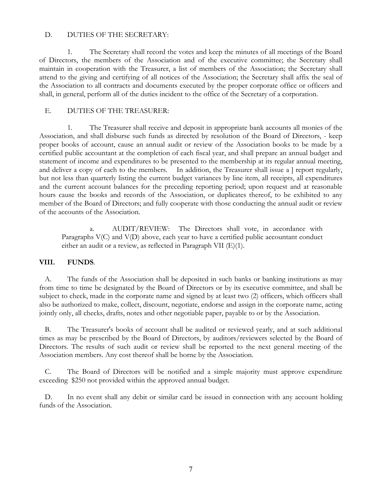#### D. DUTIES OF THE SECRETARY:

1. The Secretary shall record the votes and keep the minutes of all meetings of the Board of Directors, the members of the Association and of the executive committee; the Secretary shall maintain in cooperation with the Treasurer, a list of members of the Association; the Secretary shall attend to the giving and certifying of all notices of the Association; the Secretary shall affix the seal of the Association to all contracts and documents executed by the proper corporate office or officers and shall, in general, perform all of the duties incident to the office of the Secretary of a corporation.

### E. DUTIES OF THE TREASURER:

1. The Treasurer shall receive and deposit in appropriate bank accounts all monies of the Association, and shall disburse such funds as directed by resolution of the Board of Directors, - keep proper books of account, cause an annual audit or review of the Association books to be made by a certified public accountant at the completion of each fiscal year, and shall prepare an annual budget and statement of income and expenditures to be presented to the membership at its regular annual meeting, and deliver a copy of each to the members. In addition, the Treasurer shall issue a  $\vert$  report regularly, but not less than quarterly listing the current budget variances by line item, all receipts, all expenditures and the current account balances for the preceding reporting period; upon request and at reasonable hours cause the books and records of the Association, or duplicates thereof, to be exhibited to any member of the Board of Directors; and fully cooperate with those conducting the annual audit or review of the accounts of the Association.

a. AUDIT/REVIEW: The Directors shall vote, in accordance with Paragraphs V(C) and V(D) above, each year to have a certified public accountant conduct either an audit or a review, as reflected in Paragraph VII (E)(1).

### **VIII. FUNDS**.

A. The funds of the Association shall be deposited in such banks or banking institutions as may from time to time be designated by the Board of Directors or by its executive committee, and shall be subject to check, made in the corporate name and signed by at least two (2) officers, which officers shall also be authorized to make, collect, discount, negotiate, endorse and assign in the corporate name, acting jointly only, all checks, drafts, notes and other negotiable paper, payable to or by the Association.

B. The Treasurer's books of account shall be audited or reviewed yearly, and at such additional times as may be prescribed by the Board of Directors, by auditors/reviewers selected by the Board of Directors. The results of such audit or review shall be reported to the next general meeting of the Association members. Any cost thereof shall be borne by the Association.

C. The Board of Directors will be notified and a simple majority must approve expenditure exceeding \$250 not provided within the approved annual budget.

D. In no event shall any debit or similar card be issued in connection with any account holding funds of the Association.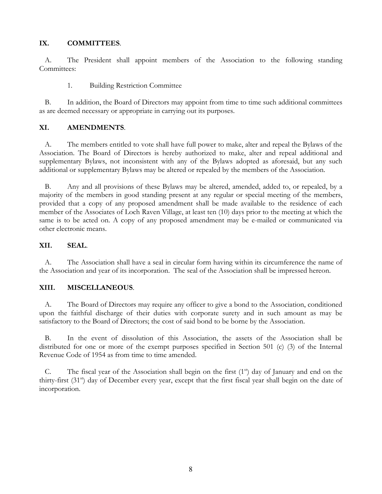### **IX. COMMITTEES**.

A. The President shall appoint members of the Association to the following standing Committees:

1. Building Restriction Committee

B. In addition, the Board of Directors may appoint from time to time such additional committees as are deemed necessary or appropriate in carrying out its purposes.

# **XI. AMENDMENTS**.

A. The members entitled to vote shall have full power to make, alter and repeal the Bylaws of the Association. The Board of Directors is hereby authorized to make, alter and repeal additional and supplementary Bylaws, not inconsistent with any of the Bylaws adopted as aforesaid, but any such additional or supplementary Bylaws may be altered or repealed by the members of the Association.

B. Any and all provisions of these Bylaws may be altered, amended, added to, or repealed, by a majority of the members in good standing present at any regular or special meeting of the members, provided that a copy of any proposed amendment shall be made available to the residence of each member of the Associates of Loch Raven Village, at least ten (10) days prior to the meeting at which the same is to be acted on. A copy of any proposed amendment may be e-mailed or communicated via other electronic means.

# **XII. SEAL**.

A. The Association shall have a seal in circular form having within its circumference the name of the Association and year of its incorporation. The seal of the Association shall be impressed hereon.

### **XIII. MISCELLANEOUS**.

A. The Board of Directors may require any officer to give a bond to the Association, conditioned upon the faithful discharge of their duties with corporate surety and in such amount as may be satisfactory to the Board of Directors; the cost of said bond to be borne by the Association.

B. In the event of dissolution of this Association, the assets of the Association shall be distributed for one or more of the exempt purposes specified in Section 501 (c) (3) of the Internal Revenue Code of 1954 as from time to time amended.

C. The fiscal year of the Association shall begin on the first  $(1<sup>s</sup>)$  day of January and end on the thirty-first (31<sup>st</sup>) day of December every year, except that the first fiscal year shall begin on the date of incorporation.